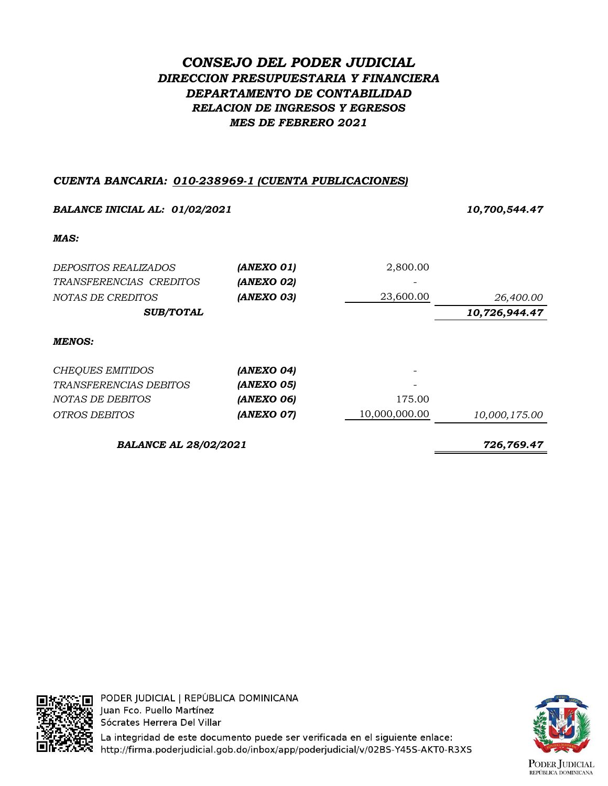# *CONSEJO DEL PODER JUDICIAL DIRECCION PRESUPUESTARIA Y FINANCIERA DEPARTAMENTO DE CONTABILIDAD RELACION DE INGRESOS Y EGRESOS MES DE FEBRERO 2021*

## *CUENTA BANCARIA: 010-238969-1 (CUENTA PUBLICACIONES)*

| <b>BALANCE INICIAL AL: 01/02/2021</b> |            |               | 10,700,544.47 |  |
|---------------------------------------|------------|---------------|---------------|--|
| MAS:                                  |            |               |               |  |
| DEPOSITOS REALIZADOS                  | (ANEXO 01) | 2,800.00      |               |  |
| TRANSFERENCIAS CREDITOS               | (ANEXO 02) |               |               |  |
| NOTAS DE CREDITOS                     | (ANEXO 03) | 23,600.00     | 26,400.00     |  |
| <b>SUB/TOTAL</b>                      |            |               | 10,726,944.47 |  |
| <b>MENOS:</b>                         |            |               |               |  |
| <b>CHEQUES EMITIDOS</b>               | (ANEXO 04) |               |               |  |
| <i>TRANSFERENCIAS DEBITOS</i>         | (ANEXO 05) |               |               |  |
| NOTAS DE DEBITOS                      | (ANEXO 06) | 175.00        |               |  |
| <i>OTROS DEBITOS</i>                  | (ANEXO 07) | 10,000,000.00 | 10,000,175.00 |  |
| <b>BALANCE AL 28/02/2021</b>          |            | 726,769.47    |               |  |



YL'∏ PODER JUDICIAL | REPÚBLICA DOMINICANA Juan Fco. Puello Martínez Sócrates Herrera Del Villar

La integridad de este documento puede ser verificada en el siguiente enlace: http://firma.poderjudicial.gob.do/inbox/app/poderjudicial/v/02BS-Y45S-AKT0-R3XS

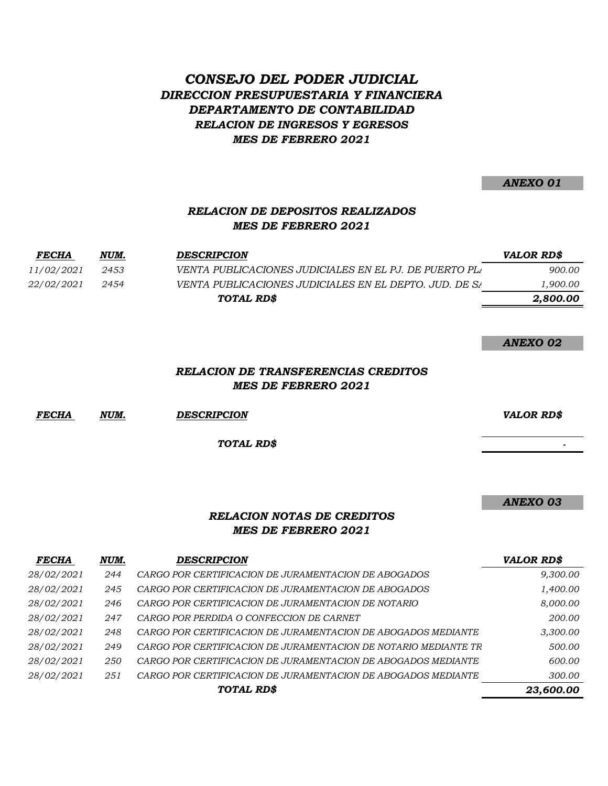# *CONSEJO DEL PODER JUDICIAL DIRECCION PRESUPUESTARIA Y FINANCIERA DEPARTAMENTO DE CONTABILIDAD RELACION DE INGRESOS Y EGRESOS MES DE FEBRERO 2021*

*ANEXO 01*

## *RELACION DE DEPOSITOS REALIZADOS MES DE FEBRERO 2021*

| <b>FECHA</b>      | NUM. | <b>DESCRIPCION</b>                                     | <i>VALOR RD\$</i> |
|-------------------|------|--------------------------------------------------------|-------------------|
| <i>11/02/2021</i> | 2453 | VENTA PUBLICACIONES JUDICIALES EN EL PJ. DE PUERTO PLA | 900.00            |
| <i>22/02/2021</i> | 2454 | VENTA PUBLICACIONES JUDICIALES EN EL DEPTO. JUD. DE SA | ,900.00           |
|                   |      | TOTAL RD\$                                             | 2.800.00          |

*ANEXO 02*

### *RELACION DE TRANSFERENCIAS CREDITOS MES DE FEBRERO 2021*

*FECHA NUM. DESCRIPCION VALOR RD\$*

*TOTAL RD\$*

*ANEXO 03*

 *-*

### *RELACION NOTAS DE CREDITOS MES DE FEBRERO 2021*

| <b>FECHA</b> | NUM. | <b>DESCRIPCION</b>                                              | <b>VALOR RD\$</b> |
|--------------|------|-----------------------------------------------------------------|-------------------|
| 28/02/2021   | 244  | CARGO POR CERTIFICACION DE JURAMENTACION DE ABOGADOS            | 9,300.00          |
| 28/02/2021   | 245  | CARGO POR CERTIFICACION DE JURAMENTACION DE ABOGADOS            | 1,400.00          |
| 28/02/2021   | 246  | CARGO POR CERTIFICACION DE JURAMENTACION DE NOTARIO             | 8,000.00          |
| 28/02/2021   | 247  | CARGO POR PERDIDA O CONFECCION DE CARNET                        | 200.00            |
| 28/02/2021   | 248  | CARGO POR CERTIFICACION DE JURAMENTACION DE ABOGADOS MEDIANTE   | 3,300.00          |
| 28/02/2021   | 249  | CARGO POR CERTIFICACION DE JURAMENTACION DE NOTARIO MEDIANTE TR | 500.00            |
| 28/02/2021   | 250  | CARGO POR CERTIFICACION DE JURAMENTACION DE ABOGADOS MEDIANTE   | 600.00            |
| 28/02/2021   | 251  | CARGO POR CERTIFICACION DE JURAMENTACION DE ABOGADOS MEDIANTE   | 300.00            |
|              |      | TOTAL RD\$                                                      | 23,600.00         |